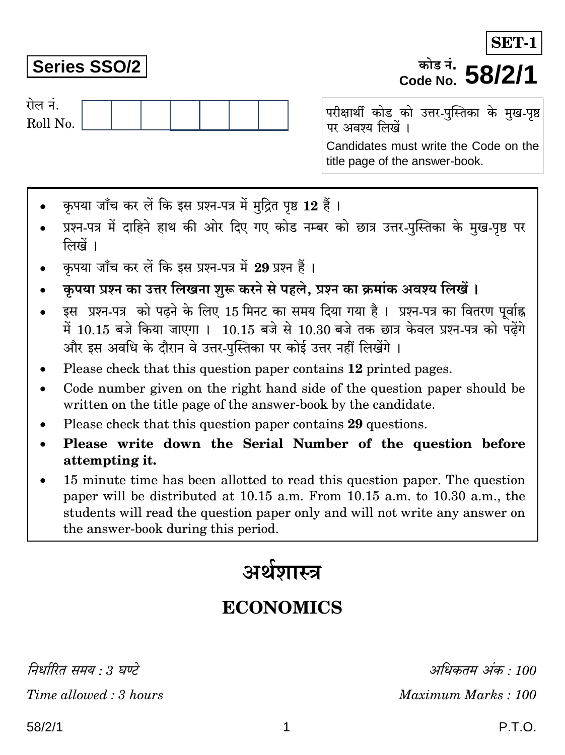Code No. 58/2/1 परीक्षार्थी कोड को उत्तर-पुस्तिका के मुख-पृष्ठ पर अवश्य लिखें ।

कोड़ नं.

Candidates must write the Code on the title page of the answer-book.

- कपया जाँच कर लें कि इस प्रश्न-पत्र में मुद्रित पृष्ठ 12 हैं।
- प्रश्न-पत्र में दाहिने हाथ की ओर दिए गए कोड नम्बर को छात्र उत्तर-पुस्तिका के मुख-पृष्ठ पर लिखें ।
- कपया जाँच कर लें कि इस प्रश्न-पत्र में 29 प्रश्न हैं।
- कृपया प्रश्न का उत्तर लिखना शुरू करने से पहले, प्रश्न का क्रमांक अवश्य लिखें ।
- इस प्रश्न-पत्र को पढ़ने के लिए 15 मिनट का समय दिया गया है। प्रश्न-पत्र का वितरण पर्वाह्न में 10.15 बजे किया जाएगा । 10.15 बजे से 10.30 बजे तक छात्र केवल प्रश्न-पत्र को पढ़ेंगे और इस अवधि के दौरान वे उत्तर-पस्तिका पर कोई उत्तर नहीं लिखेंगे ।
- Please check that this question paper contains 12 printed pages.
- Code number given on the right hand side of the question paper should be  $\bullet$ written on the title page of the answer-book by the candidate.
- Please check that this question paper contains 29 questions.
- Please write down the Serial Number of the question before attempting it.
- 15 minute time has been allotted to read this question paper. The question paper will be distributed at 10.15 a.m. From 10.15 a.m. to 10.30 a.m., the students will read the question paper only and will not write any answer on the answer-book during this period.

# अर्थशास्त्र

## **ECONOMICS**

निर्धारित समय : 3 घण्टे Time allowed: 3 hours

अधिकतम अंक : 100 Maximum Marks: 100

**SET-1** 

## **Series SSO/2**

रोल नं. Roll No.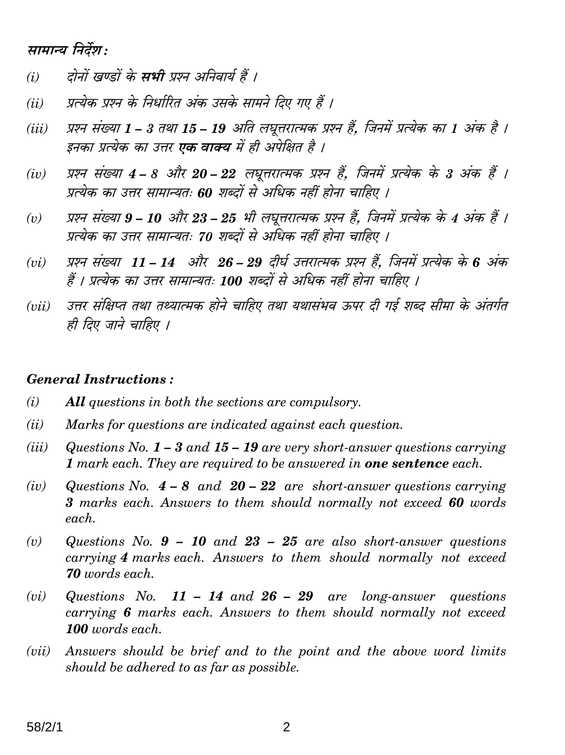### सामान्य निर्देश:

- दोनों खण्डों के **सभी** प्रश्न अनिवार्य हैं ।  $(i)$
- प्रत्येक प्रश्न के निर्धारित अंक उसके सामने दिए गए हैं ।  $(ii)$
- प्रश्न संख्या 1 3 तथा 15 19 अति लघूत्तरात्मक प्रश्न हैं. जिनमें प्रत्येक का 1 अंक है ।  $(iii)$ इनका प्रत्येक का उत्तर **एक वाक्य** में ही अपेक्षित है ।
- प्रश्न संख्या 4 8 और 20 22 लघुत्तरात्मक प्रश्न हैं, जिनमें प्रत्येक के 3 अंक हैं ।  $(iv)$ प्रत्येक का उत्तर सामान्यतः 60 शब्दों से अधिक नहीं होना चाहिए ।
- प्रश्न संख्या 9 10 और 23 25 भी लघूत्तरात्मक प्रश्न हैं, जिनमें प्रत्येक के 4 अंक हैं ।  $(v)$ प्रत्येक का उत्तर सामान्यतः 70 शब्दों से अधिक नहीं होना चाहिए ।
- प्रश्न संख्या 11 14 और 26 29 दीर्घ उत्तरात्मक प्रश्न हैं, जिनमें प्रत्येक के 6 अंक  $(vi)$ हैं । प्रत्येक का उत्तर सामान्यतः 100 शब्दों से अधिक नहीं होना चाहिए ।
- उत्तर संक्षिप्त तथा तथ्यात्मक होने चाहिए तथा यथासंभव ऊपर दी गई शब्द सीमा के अंतर्गत  $(iii)$ ही दिए जाने चाहिए ।

#### **General Instructions:**

- $(i)$ **All** questions in both the sections are compulsory.
- $(ii)$ Marks for questions are indicated against each question.
- $(iii)$ Questions No.  $1-3$  and  $15-19$  are very short-answer questions carrying 1 mark each. They are required to be answered in **one sentence** each.
- $(iv)$ Questions No.  $4-8$  and  $20-22$  are short-answer questions carrying 3 marks each. Answers to them should normally not exceed 60 words each.
- Questions No.  $9 10$  and  $23 25$  are also short-answer questions  $(v)$ carrying 4 marks each. Answers to them should normally not exceed **70** words each.
- $(vi)$ Questions No.  $11 - 14$  and  $26 - 29$  are long-answer questions carrying 6 marks each. Answers to them should normally not exceed 100 words each.
- Answers should be brief and to the point and the above word limits  $(vii)$ should be adhered to as far as possible.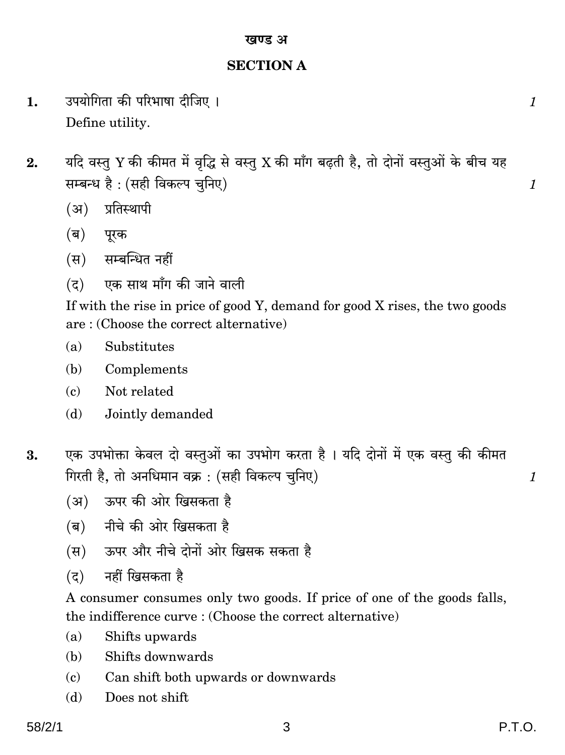#### खण्ड अ

### **SECTION A**

- उपयोगिता की परिभाषा दीजिए । 1. Define utility.
- यदि वस्तु Y की कीमत में वृद्धि से वस्तु X की माँग बढ़ती है, तो दोनों वस्तुओं के बीच यह  $2.$ सम्बन्ध है : (सही विकल्प चुनिए)
	- (अ) प्रतिस्थापी
	- (ब) पुरक
	- (स) सम्बन्धित नहीं
	- (द) एक साथ माँग की जाने वाली

If with the rise in price of good Y, demand for good X rises, the two goods are: (Choose the correct alternative)

- Substitutes  $(a)$
- (b) Complements
- Not related  $(c)$
- (d) Jointly demanded
- एक उपभोक्ता केवल दो वस्तुओं का उपभोग करता है। यदि दोनों में एक वस्तु की कीमत 3. गिरती है, तो अनधिमान वक्र : (सही विकल्प चुनिए)
	- (अ) ऊपर की ओर खिसकता है
	- (ब) नीचे की ओर खिसकता है
	- (स) ऊपर और नीचे दोनों ओर खिसक सकता है
	- नहीं खिसकता है  $(5)$

A consumer consumes only two goods. If price of one of the goods falls, the indifference curve : (Choose the correct alternative)

- Shifts upwards  $(a)$
- Shifts downwards (b)
- Can shift both upwards or downwards  $(c)$
- Does not shift (d)

 $\mathcal{I}_{\mathcal{L}}$ 

 $\mathcal{I}_{\mathcal{L}}$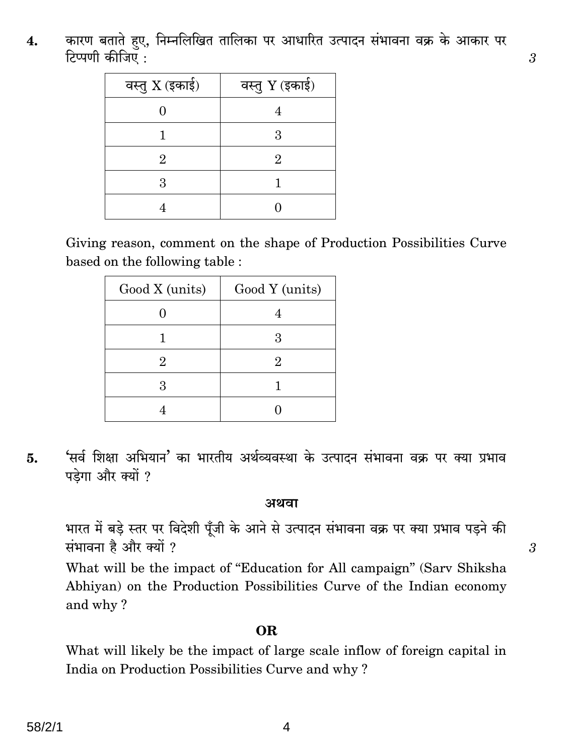कारण बताते हए, निम्नलिखित तालिका पर आधारित उत्पादन संभावना वक्र के आकार पर 4. टिप्पणी कीजिए :

3

3

| वस्तु $X$ (इकाई) | वस्तु Y (इकाई) |  |
|------------------|----------------|--|
|                  |                |  |
|                  | 3              |  |
| 2                | 2              |  |
| 3                |                |  |
|                  |                |  |

Giving reason, comment on the shape of Production Possibilities Curve based on the following table:

| Good X (units) | Good Y (units) |  |
|----------------|----------------|--|
|                |                |  |
|                | 3              |  |
| 9.             | 2              |  |
| З              |                |  |
|                |                |  |

'सर्व शिक्षा अभियान' का भारतीय अर्थव्यवस्था के उत्पादन संभावना वक्र पर क्या प्रभाव 5. पड़ेगा और क्यों ?

#### अथवा

भारत में बड़े स्तर पर विदेशी पूँजी के आने से उत्पादन संभावना वक्र पर क्या प्रभाव पड़ने की संभावना है और क्यों ?

What will be the impact of "Education for All campaign" (Sarv Shiksha Abhiyan) on the Production Possibilities Curve of the Indian economy and why?

#### **OR**

What will likely be the impact of large scale inflow of foreign capital in India on Production Possibilities Curve and why?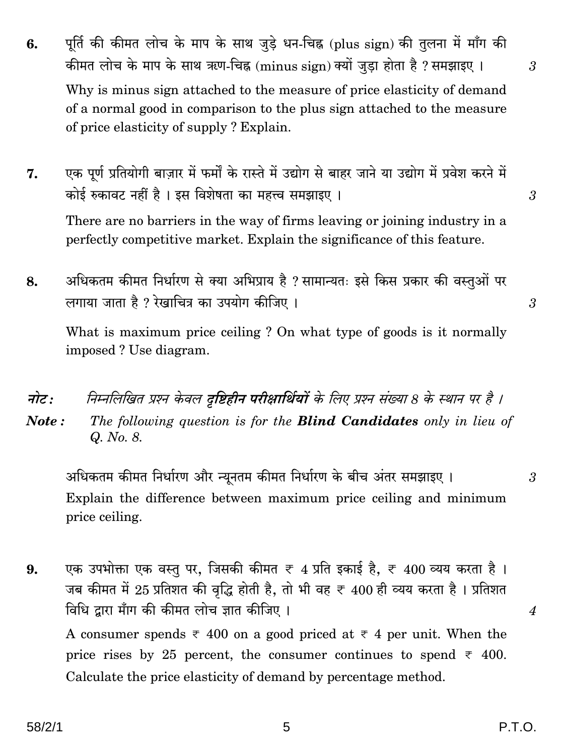- पूर्ति की कीमत लोच के माप के साथ जुड़े धन-चिह्न (plus sign) की तुलना में माँग की 6. कीमत लोच के माप के साथ ऋण-चिह्न (minus sign) क्यों जड़ा होता है ? समझाइए । Why is minus sign attached to the measure of price elasticity of demand of a normal good in comparison to the plus sign attached to the measure of price elasticity of supply? Explain.
- एक पूर्ण प्रतियोगी बाज़ार में फर्मों के रास्ते में उद्योग से बाहर जाने या उद्योग में प्रवेश करने में 7. कोई रुकावट नहीं है। इस विशेषता का महत्त्व समझाइए।

There are no barriers in the way of firms leaving or joining industry in a perfectly competitive market. Explain the significance of this feature.

अधिकतम कीमत निर्धारण से क्या अभिप्राय है ? सामान्यतः इसे किस प्रकार की वस्तुओं पर 8. लगाया जाता है ? रेखाचित्र का उपयोग कीजिए ।

What is maximum price ceiling? On what type of goods is it normally imposed? Use diagram.

नोट: निम्नलिखित प्रश्न केवल **दृष्टिहीन परीक्षार्थियों** के लिए प्रश्न संख्या 8 के स्थान पर है । The following question is for the **Blind Candidates** only in lieu of Note: Q. No. 8.

अधिकतम कीमत निर्धारण और न्यूनतम कीमत निर्धारण के बीच अंतर समझाइए । Explain the difference between maximum price ceiling and minimum price ceiling.

एक उपभोक्ता एक वस्तु पर, जिसकी कीमत ₹ 4 प्रति इकाई है, ₹ 400 व्यय करता है। 9. जब कीमत में 25 प्रतिशत की वृद्धि होती है, तो भी वह ₹ 400 ही व्यय करता है। प्रतिशत विधि द्वारा माँग की कीमत लोच ज्ञात कीजिए । A consumer spends  $\overline{\tau}$  400 on a good priced at  $\overline{\tau}$  4 per unit. When the price rises by 25 percent, the consumer continues to spend  $\overline{\tau}$  400. Calculate the price elasticity of demand by percentage method.

 $\mathcal{S}$ 

3

 $\mathcal{S}$ 

3

 $\overline{4}$ 

5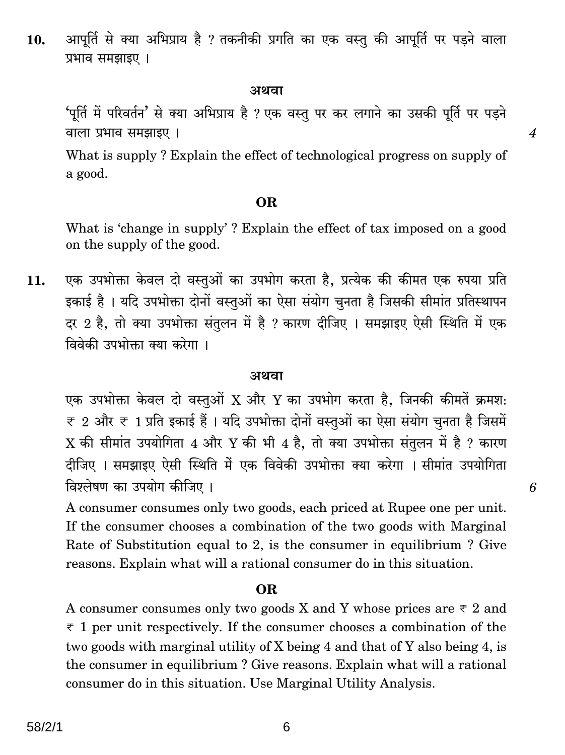आपर्ति से क्या अभिप्राय है ? तकनीकी प्रगति का एक वस्तु की आपर्ति पर पड़ने वाला  $10.$ प्रभाव समझाइए ।

#### अथवा

'पूर्ति में परिवर्तन' से क्या अभिप्राय है ? एक वस्तु पर कर लगाने का उसकी पूर्ति पर पड़ने वाला प्रभाव समझाइए ।

 $\boldsymbol{4}$ 

6

What is supply? Explain the effect of technological progress on supply of a good.

#### **OR**

What is 'change in supply'? Explain the effect of tax imposed on a good on the supply of the good.

एक उपभोक्ता केवल दो वस्तुओं का उपभोग करता है, प्रत्येक की कीमत एक रुपया प्रति 11. इकाई है । यदि उपभोक्ता दोनों वस्तुओं का ऐसा संयोग चनता है जिसकी सीमांत प्रतिस्थापन दर 2 है. तो क्या उपभोक्ता संतुलन में है ? कारण दीजिए । समझाइए ऐसी स्थिति में एक विवेकी उपभोक्ता क्या करेगा ।

#### अथवा

एक उपभोक्ता केवल दो वस्तुओं X और Y का उपभोग करता है, जिनकी कीमतें क्रमश:  $\overline{\tau}$  2 और  $\overline{\tau}$  1 प्रति इकाई हैं । यदि उपभोक्ता दोनों वस्तुओं का ऐसा संयोग चुनता है जिसमें X की सीमांत उपयोगिता 4 और Y की भी 4 है, तो क्या उपभोक्ता संतुलन में है ? कारण दीजिए । समझाइए ऐसी स्थिति में एक विवेकी उपभोक्ता क्या करेगा । सीमांत उपयोगिता विश्लेषण का उपयोग कीजिए ।

A consumer consumes only two goods, each priced at Rupee one per unit. If the consumer chooses a combination of the two goods with Marginal Rate of Substitution equal to 2, is the consumer in equilibrium? Give reasons. Explain what will a rational consumer do in this situation.

#### OR.

A consumer consumes only two goods X and Y whose prices are  $\overline{\tau}$  2 and  $\overline{\tau}$  1 per unit respectively. If the consumer chooses a combination of the two goods with marginal utility of X being 4 and that of Y also being 4, is the consumer in equilibrium? Give reasons. Explain what will a rational consumer do in this situation. Use Marginal Utility Analysis.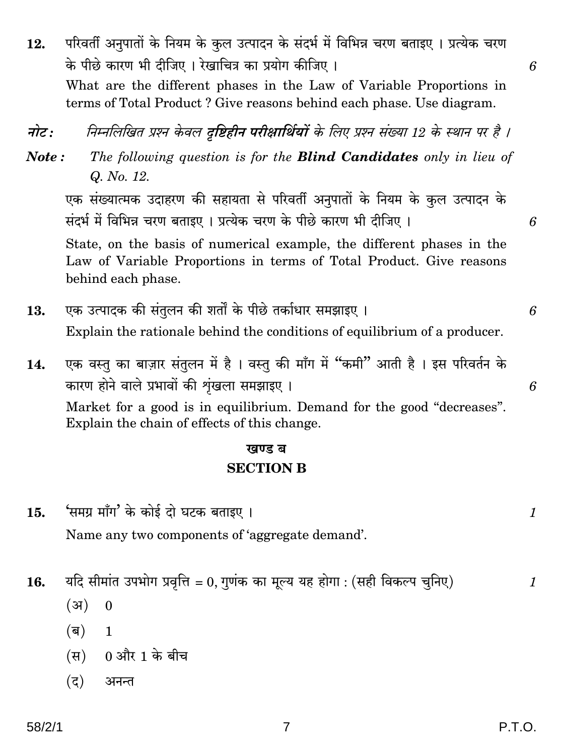- परिवर्ती अनुपातों के नियम के कुल उत्पादन के संदर्भ में विभिन्न चरण बताइए । प्रत्येक चरण 12. के पीछे कारण भी दीजिए। रेखाचित्र का प्रयोग कीजिए। What are the different phases in the Law of Variable Proportions in terms of Total Product? Give reasons behind each phase. Use diagram.
- नोट: निम्नलिखित प्रश्न केवल दृष्टिहीन परीक्षार्थियों के लिए प्रश्न संख्या 12 के स्थान पर है ।
- The following question is for the **Blind Candidates** only in lieu of  $Note:$ Q. No. 12.

एक संख्यात्मक उदाहरण की सहायता से परिवर्ती अनुपातों के नियम के कल उत्पादन के संदर्भ में विभिन्न चरण बताइए। प्रत्येक चरण के पीछे कारण भी दीजिए।

State, on the basis of numerical example, the different phases in the Law of Variable Proportions in terms of Total Product. Give reasons behind each phase.

- एक उत्पादक की संतुलन की शर्तों के पीछे तर्काधार समझाइए । 13. Explain the rationale behind the conditions of equilibrium of a producer.
- एक वस्तु का बाज़ार संतुलन में है। वस्तु की माँग में "कमी" आती है। इस परिवर्तन के  $14.$ कारण होने वाले प्रभावों की शृंखला समझाइए। Market for a good is in equilibrium. Demand for the good "decreases". Explain the chain of effects of this change.

## खण्ड ब **SECTION B**

'समग्र माँग' के कोई दो घटक बताइए । 15.

Name any two components of 'aggregate demand'.

- यदि सीमांत उपभोग प्रवृत्ति = 0. गुणंक का मूल्य यह होगा : (सही विकल्प चुनिए) 16.
	- $(3)$  $\mathbf{0}$
	- $(\overline{\mathsf{q}})$  $\mathbf{1}$
	- 0 और 1 के बीच  $(\overline{H})$
	- $(5)$ अनन्त

 $\mathcal{I}_{\mathcal{L}}$ 

 $\mathcal I$ 

6

6

6

6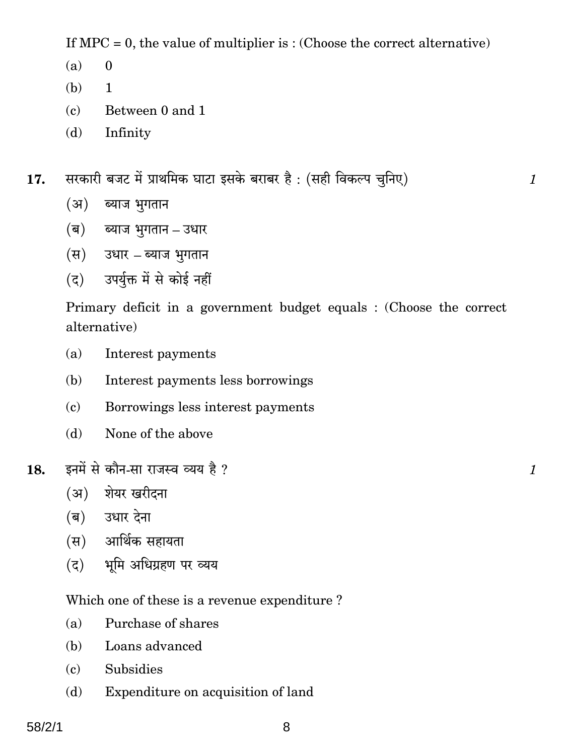If MPC = 0, the value of multiplier is: (Choose the correct alternative)

- $(a)$  $\mathbf{0}$
- $(b)$  $\mathbf{1}$
- $(c)$ Between 0 and 1
- $(d)$ Infinity
- सरकारी बजट में प्राथमिक घाटा इसके बराबर है: (सही विकल्प चुनिए) 17.
	- (अ) ब्याज भुगतान
	- (ब) ब्याज भुगतान उधार
	- (स) उधार ब्याज भुगतान
	- (द) उपर्युक्त में से कोई नहीं

Primary deficit in a government budget equals: (Choose the correct alternative)

 $\mathcal{I}$ 

 $\mathcal{I}_{\mathcal{L}}$ 

- Interest payments  $(a)$
- Interest payments less borrowings  $(b)$
- $\epsilon$ ) Borrowings less interest payments
- (d) None of the above
- इनमें से कौन-सा राजस्व व्यय है ? 18.
	- (अ) शेयर खरीदना
	- (ब) उधार देना
	- (स) आर्थिक सहायता
	- (द) भूमि अधिग्रहण पर व्यय

Which one of these is a revenue expenditure?

- $(a)$ Purchase of shares
- $(b)$ Loans advanced
- **Subsidies**  $(c)$
- Expenditure on acquisition of land (d)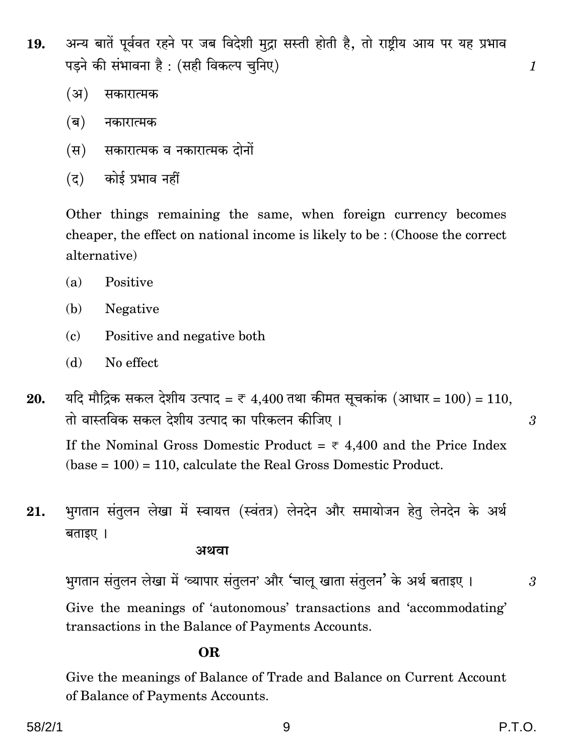- अन्य बातें पूर्ववत रहने पर जब विदेशी मुद्रा सस्ती होती है, तो राष्ट्रीय आय पर यह प्रभाव 19. पड़ने की संभावना है: (सही विकल्प चनिए)
	- $(3)$ सकारात्मक
	- (ब) नकारात्मक
	- सकारात्मक व नकारात्मक दोनों (स)
	- कोई प्रभाव नहीं  $(5)$

Other things remaining the same, when foreign currency becomes cheaper, the effect on national income is likely to be: (Choose the correct alternative)

- $(a)$ Positive
- (b) Negative
- $(c)$ Positive and negative both
- No effect (d)

यदि मौद्रिक सकल देशीय उत्पाद = ₹ 4,400 तथा कीमत सूचकांक (आधार = 100) = 110, 20. तो वास्तविक सकल देशीय उत्पाद का परिकलन कीजिए।

If the Nominal Gross Domestic Product =  $\overline{\tau}$  4,400 and the Price Index  $(base = 100) = 110$ , calculate the Real Gross Domestic Product.

भुगतान संतुलन लेखा में स्वायत्त (स्वंतत्र) लेनदेन और समायोजन हेतु लेनदेन के अर्थ 21. बताइए ।

#### अथवा

भगतान संतुलन लेखा में 'व्यापार संतुलन' और 'चालु खाता संतुलन' के अर्थ बताइए ।

Give the meanings of 'autonomous' transactions and 'accommodating' transactions in the Balance of Payments Accounts.

#### OR.

Give the meanings of Balance of Trade and Balance on Current Account of Balance of Payments Accounts.

 $\mathcal{I}$ 

 $\overline{3}$ 

 $\mathcal{S}$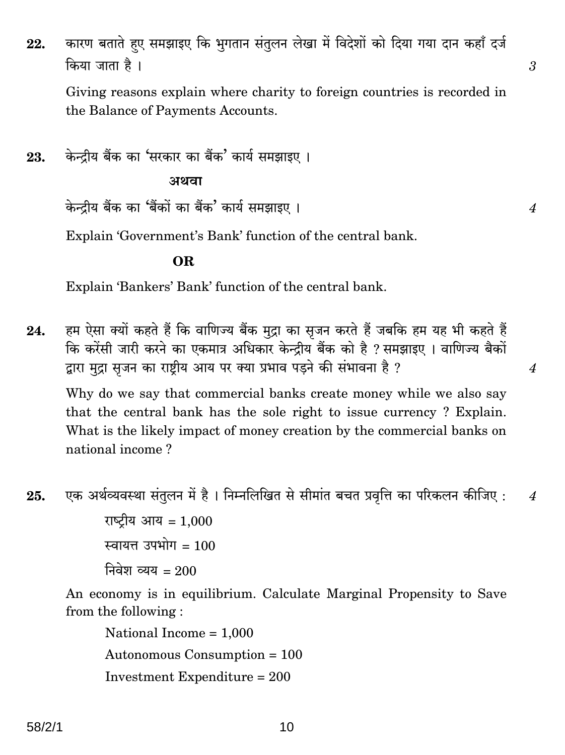कारण बताते हुए समझाइए कि भुगतान संतुलन लेखा में विदेशों को दिया गया दान कहाँ दर्ज 22. किया जाता है।

Giving reasons explain where charity to foreign countries is recorded in the Balance of Payments Accounts.

केन्दीय बैंक का 'सरकार का बैंक' कार्य समझाइए। 23.

अथवा

केन्द्रीय बैंक का 'बैंकों का बैंक' कार्य समझाइए।

Explain 'Government's Bank' function of the central bank.

#### OR.

Explain 'Bankers' Bank' function of the central bank.

हम ऐसा क्यों कहते हैं कि वाणिज्य बैंक मुद्रा का सुजन करते हैं जबकि हम यह भी कहते हैं 24. कि करेंसी जारी करने का एकमात्र अधिकार केन्द्रीय बैंक को है ? समझाइए । वाणिज्य बैकों द्वारा मुद्रा सृजन का राष्ट्रीय आय पर क्या प्रभाव पड़ने की संभावना है ?

Why do we say that commercial banks create money while we also say that the central bank has the sole right to issue currency? Explain. What is the likely impact of money creation by the commercial banks on national income?

एक अर्थव्यवस्था संतुलन में है। निम्नलिखित से सीमांत बचत प्रवृत्ति का परिकलन कीजिए : 25.  $\boldsymbol{4}$ 

> राष्ट्रीय आय =  $1,000$ स्वायत्त उपभोग $= 100$ निवेश व्यय =  $200$

An economy is in equilibrium. Calculate Marginal Propensity to Save from the following:

National Income  $= 1,000$ Autonomous Consumption = 100 Investment Expenditure =  $200$ 

10

 $\mathfrak{Z}$ 

 $\overline{4}$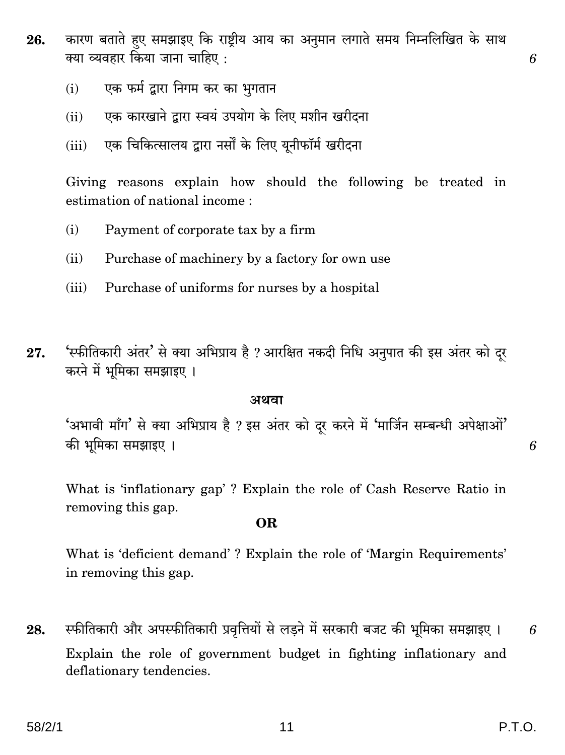- कारण बताते हुए समझाइए कि राष्ट्रीय आय का अनुमान लगाते समय निम्नलिखित के साथ 26. क्या व्यवहार किया जाना चाहिए :
	- एक फर्म दारा निगम कर का भगतान  $(i)$
	- एक कारखाने द्वारा स्वयं उपयोग के लिए मशीन खरीदना  $(ii)$
	- एक चिकित्सालय द्वारा नर्सों के लिए यूनीफॉर्म खरीदना  $(iii)$

Giving reasons explain how should the following be treated in estimation of national income:

- $(i)$ Payment of corporate tax by a firm
- Purchase of machinery by a factory for own use  $(ii)$
- $(iii)$ Purchase of uniforms for nurses by a hospital
- 'स्फीतिकारी अंतर' से क्या अभिप्राय है ? आरक्षित नकदी निधि अनुपात की इस अंतर को दूर 27. करने में भूमिका समझाइए ।

#### अथवा

'अभावी माँग' से क्या अभिप्राय है ? इस अंतर को दूर करने में 'मार्जिन सम्बन्धी अपेक्षाओं' की भूमिका समझाइए ।

6

6

What is 'inflationary gap'? Explain the role of Cash Reserve Ratio in removing this gap.

#### OR.

What is 'deficient demand'? Explain the role of 'Margin Requirements' in removing this gap.

स्फीतिकारी और अपस्फीतिकारी प्रवृत्तियों से लड़ने में सरकारी बजट की भूमिका समझाइए । 28. 6 Explain the role of government budget in fighting inflationary and deflationary tendencies.